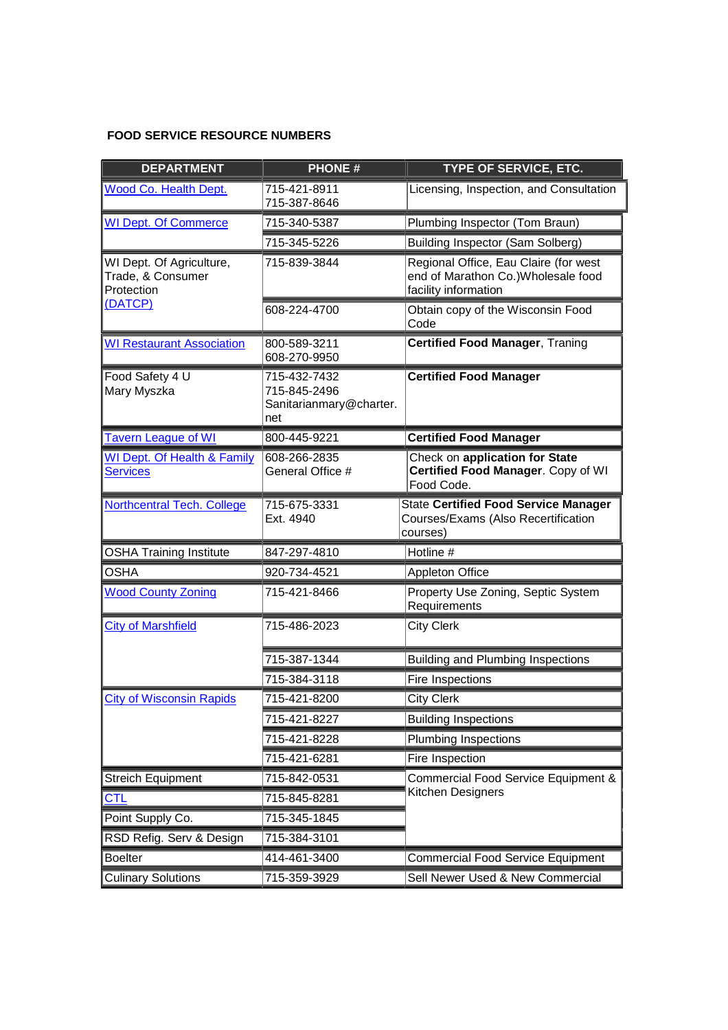## **FOOD SERVICE RESOURCE NUMBERS**

| <b>DEPARTMENT</b>                                                      | <b>PHONE#</b>                                                  | TYPE OF SERVICE, ETC.                                                                                |
|------------------------------------------------------------------------|----------------------------------------------------------------|------------------------------------------------------------------------------------------------------|
| Wood Co. Health Dept.                                                  | 715-421-8911<br>715-387-8646                                   | Licensing, Inspection, and Consultation                                                              |
| <b>WI Dept. Of Commerce</b>                                            | 715-340-5387                                                   | Plumbing Inspector (Tom Braun)                                                                       |
|                                                                        | 715-345-5226                                                   | <b>Building Inspector (Sam Solberg)</b>                                                              |
| WI Dept. Of Agriculture,<br>Trade, & Consumer<br>Protection<br>(DATCP) | 715-839-3844                                                   | Regional Office, Eau Claire (for west<br>end of Marathon Co.) Wholesale food<br>facility information |
|                                                                        | 608-224-4700                                                   | Obtain copy of the Wisconsin Food<br>Code                                                            |
| <b>WI Restaurant Association</b>                                       | 800-589-3211<br>608-270-9950                                   | <b>Certified Food Manager, Traning</b>                                                               |
| Food Safety 4 U<br>Mary Myszka                                         | 715-432-7432<br>715-845-2496<br>Sanitarianmary@charter.<br>net | <b>Certified Food Manager</b>                                                                        |
| <b>Tavern League of WI</b>                                             | 800-445-9221                                                   | <b>Certified Food Manager</b>                                                                        |
| <b>WI Dept. Of Health &amp; Family</b><br><b>Services</b>              | 608-266-2835<br>General Office #                               | Check on application for State<br>Certified Food Manager. Copy of WI<br>Food Code.                   |
| <b>Northcentral Tech. College</b>                                      | 715-675-3331<br>Ext. 4940                                      | <b>State Certified Food Service Manager</b><br>Courses/Exams (Also Recertification<br>courses)       |
| <b>OSHA Training Institute</b>                                         | 847-297-4810                                                   | Hotline #                                                                                            |
| <b>OSHA</b>                                                            | 920-734-4521                                                   | <b>Appleton Office</b>                                                                               |
| <b>Wood County Zoning</b>                                              | 715-421-8466                                                   | Property Use Zoning, Septic System<br>Requirements                                                   |
| <b>City of Marshfield</b>                                              | 715-486-2023                                                   | <b>City Clerk</b>                                                                                    |
|                                                                        | 715-387-1344                                                   | <b>Building and Plumbing Inspections</b>                                                             |
|                                                                        | 715-384-3118                                                   | Fire Inspections                                                                                     |
| <b>City of Wisconsin Rapids</b>                                        | 715-421-8200                                                   | <b>City Clerk</b>                                                                                    |
|                                                                        | 715-421-8227                                                   | <b>Building Inspections</b>                                                                          |
|                                                                        | 715-421-8228                                                   | <b>Plumbing Inspections</b>                                                                          |
|                                                                        | 715-421-6281                                                   | Fire Inspection                                                                                      |
| <b>Streich Equipment</b>                                               | 715-842-0531                                                   | <b>Commercial Food Service Equipment &amp;</b><br>Kitchen Designers                                  |
| <b>CTL</b>                                                             | 715-845-8281                                                   |                                                                                                      |
| Point Supply Co.                                                       | 715-345-1845                                                   |                                                                                                      |
| RSD Refig. Serv & Design                                               | 715-384-3101                                                   |                                                                                                      |
| <b>Boelter</b>                                                         | 414-461-3400                                                   | <b>Commercial Food Service Equipment</b>                                                             |
| <b>Culinary Solutions</b>                                              | 715-359-3929                                                   | Sell Newer Used & New Commercial                                                                     |